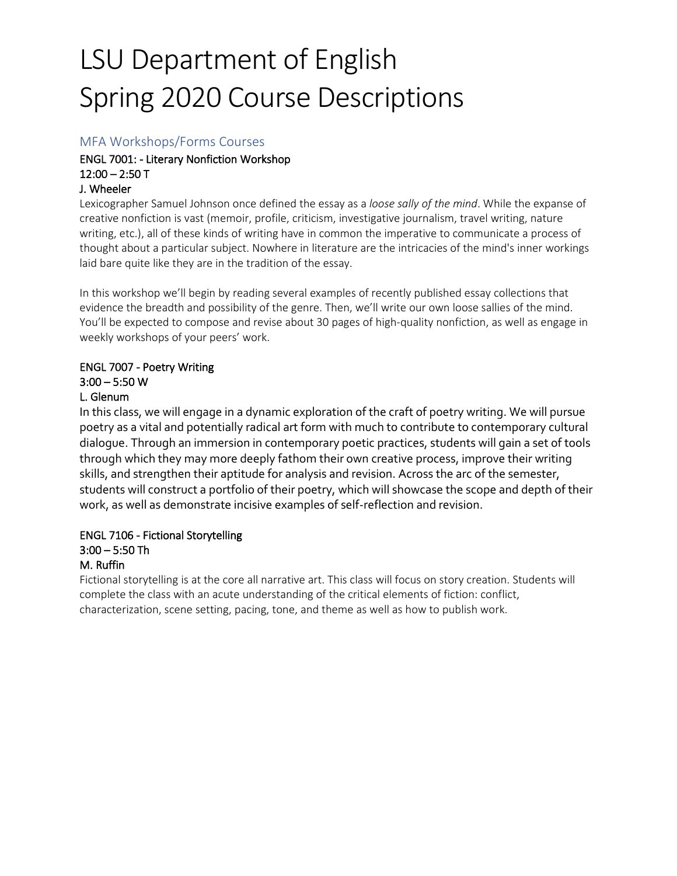# LSU Department of English Spring 2020 Course Descriptions

#### MFA Workshops/Forms Courses

## ENGL 7001: - Literary Nonfiction Workshop  $12:00 - 2:50$  T

#### J. Wheeler

Lexicographer Samuel Johnson once defined the essay as a *loose sally of the mind*. While the expanse of creative nonfiction is vast (memoir, profile, criticism, investigative journalism, travel writing, nature writing, etc.), all of these kinds of writing have in common the imperative to communicate a process of thought about a particular subject. Nowhere in literature are the intricacies of the mind's inner workings laid bare quite like they are in the tradition of the essay.

In this workshop we'll begin by reading several examples of recently published essay collections that evidence the breadth and possibility of the genre. Then, we'll write our own loose sallies of the mind. You'll be expected to compose and revise about 30 pages of high-quality nonfiction, as well as engage in weekly workshops of your peers' work.

# ENGL 7007 - Poetry Writing

# 3:00 – 5:50 W

# L. Glenum

In this class, we will engage in a dynamic exploration of the craft of poetry writing. We will pursue poetry as a vital and potentially radical art form with much to contribute to contemporary cultural dialogue. Through an immersion in contemporary poetic practices, students will gain a set of tools through which they may more deeply fathom their own creative process, improve their writing skills, and strengthen their aptitude for analysis and revision. Across the arc of the semester, students will construct a portfolio of their poetry, which will showcase the scope and depth of their work, as well as demonstrate incisive examples of self-reflection and revision.

#### ENGL 7106 - Fictional Storytelling 3:00 – 5:50 Th

#### M. Ruffin

Fictional storytelling is at the core all narrative art. This class will focus on story creation. Students will complete the class with an acute understanding of the critical elements of fiction: conflict, characterization, scene setting, pacing, tone, and theme as well as how to publish work.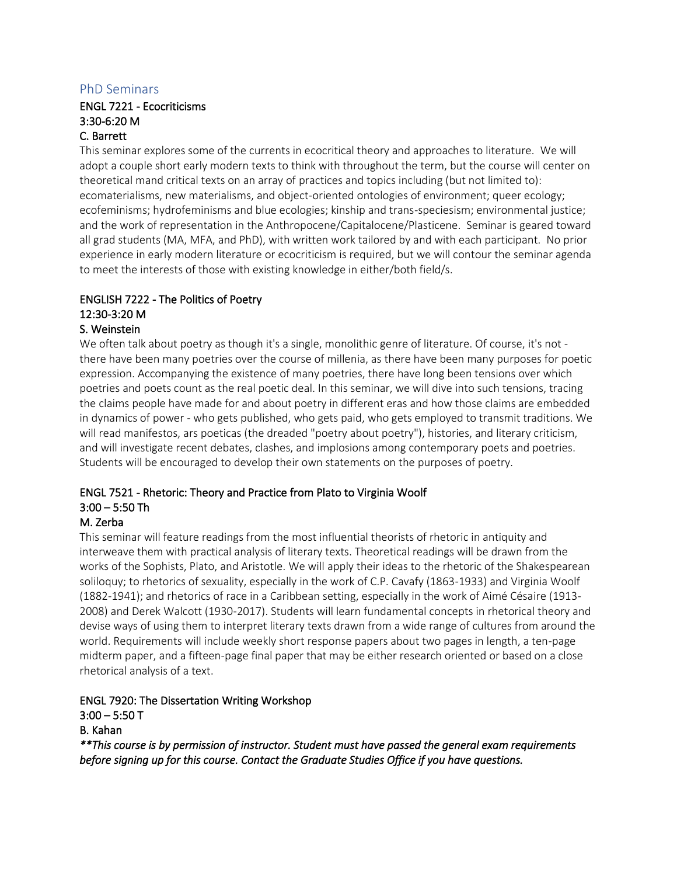#### PhD Seminars

#### ENGL 7221 - Ecocriticisms 3:30-6:20 M C. Barrett

This seminar explores some of the currents in ecocritical theory and approaches to literature. We will adopt a couple short early modern texts to think with throughout the term, but the course will center on theoretical mand critical texts on an array of practices and topics including (but not limited to): ecomaterialisms, new materialisms, and object-oriented ontologies of environment; queer ecology; ecofeminisms; hydrofeminisms and blue ecologies; kinship and trans-speciesism; environmental justice; and the work of representation in the Anthropocene/Capitalocene/Plasticene. Seminar is geared toward all grad students (MA, MFA, and PhD), with written work tailored by and with each participant. No prior experience in early modern literature or ecocriticism is required, but we will contour the seminar agenda to meet the interests of those with existing knowledge in either/both field/s.

# ENGLISH 7222 - The Politics of Poetry 12:30-3:20 M

#### S. Weinstein

We often talk about poetry as though it's a single, monolithic genre of literature. Of course, it's not there have been many poetries over the course of millenia, as there have been many purposes for poetic expression. Accompanying the existence of many poetries, there have long been tensions over which poetries and poets count as the real poetic deal. In this seminar, we will dive into such tensions, tracing the claims people have made for and about poetry in different eras and how those claims are embedded in dynamics of power - who gets published, who gets paid, who gets employed to transmit traditions. We will read manifestos, ars poeticas (the dreaded "poetry about poetry"), histories, and literary criticism, and will investigate recent debates, clashes, and implosions among contemporary poets and poetries. Students will be encouraged to develop their own statements on the purposes of poetry.

#### ENGL 7521 - Rhetoric: Theory and Practice from Plato to Virginia Woolf 3:00 – 5:50 Th

#### M. Zerba

This seminar will feature readings from the most influential theorists of rhetoric in antiquity and interweave them with practical analysis of literary texts. Theoretical readings will be drawn from the works of the Sophists, Plato, and Aristotle. We will apply their ideas to the rhetoric of the Shakespearean soliloquy; to rhetorics of sexuality, especially in the work of C.P. Cavafy (1863-1933) and Virginia Woolf (1882-1941); and rhetorics of race in a Caribbean setting, especially in the work of Aimé Césaire (1913- 2008) and Derek Walcott (1930-2017). Students will learn fundamental concepts in rhetorical theory and devise ways of using them to interpret literary texts drawn from a wide range of cultures from around the world. Requirements will include weekly short response papers about two pages in length, a ten-page midterm paper, and a fifteen-page final paper that may be either research oriented or based on a close rhetorical analysis of a text.

#### ENGL 7920: The Dissertation Writing Workshop  $3:00 - 5:50$  T

#### B. Kahan

*\*\*This course is by permission of instructor. Student must have passed the general exam requirements before signing up for this course. Contact the Graduate Studies Office if you have questions.*